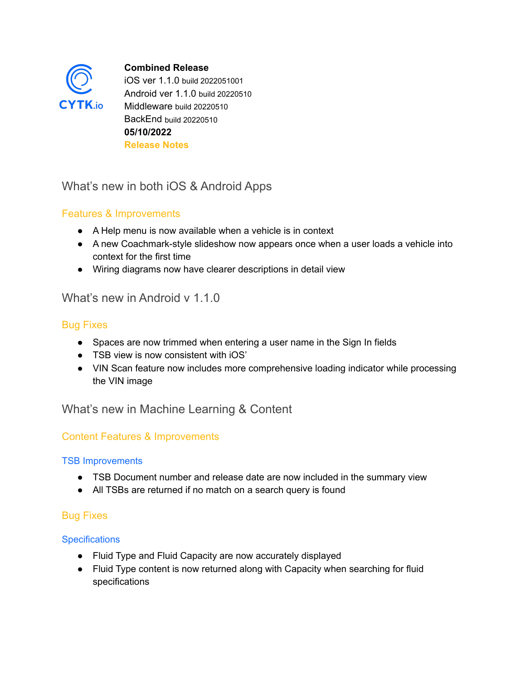

**Combined Release** iOS ver 1.1.0 build 2022051001 Android ver 1.1.0 build 20220510 Middleware build 20220510 BackEnd build 20220510 **05/10/2022 Release Notes**

# What's new in both iOS & Android Apps

### Features & Improvements

- A Help menu is now available when a vehicle is in context
- A new Coachmark-style slideshow now appears once when a user loads a vehicle into context for the first time
- Wiring diagrams now have clearer descriptions in detail view

## What's new in Android v 1.1.0

### Bug Fixes

- Spaces are now trimmed when entering a user name in the Sign In fields
- TSB view is now consistent with iOS'
- VIN Scan feature now includes more comprehensive loading indicator while processing the VIN image

What's new in Machine Learning & Content

### Content Features & Improvements

#### TSB Improvements

- TSB Document number and release date are now included in the summary view
- All TSBs are returned if no match on a search query is found

### Bug Fixes

#### **Specifications**

- Fluid Type and Fluid Capacity are now accurately displayed
- Fluid Type content is now returned along with Capacity when searching for fluid specifications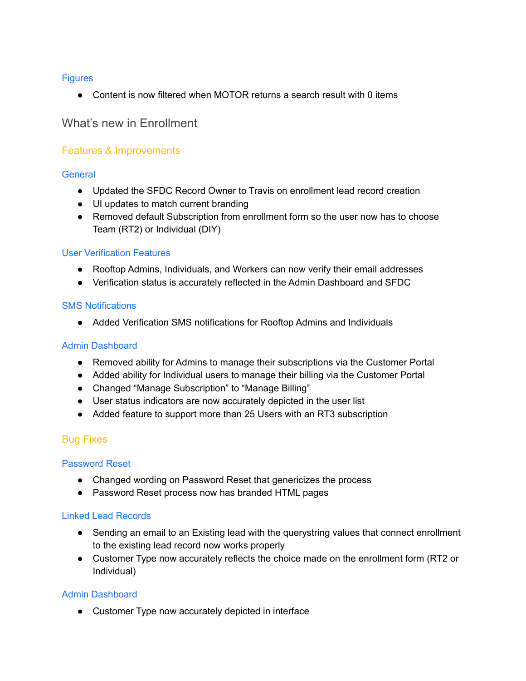#### **Figures**

● Content is now filtered when MOTOR returns a search result with 0 items

### What's new in Enrollment

#### Features & Improvements

#### **General**

- Updated the SFDC Record Owner to Travis on enrollment lead record creation
- UI updates to match current branding
- Removed default Subscription from enrollment form so the user now has to choose Team (RT2) or Individual (DIY)

#### User Verification Features

- Rooftop Admins, Individuals, and Workers can now verify their email addresses
- Verification status is accurately reflected in the Admin Dashboard and SFDC

#### SMS Notifications

● Added Verification SMS notifications for Rooftop Admins and Individuals

#### Admin Dashboard

- Removed ability for Admins to manage their subscriptions via the Customer Portal
- Added ability for Individual users to manage their billing via the Customer Portal
- Changed "Manage Subscription" to "Manage Billing"
- User status indicators are now accurately depicted in the user list
- Added feature to support more than 25 Users with an RT3 subscription

#### Bug Fixes

#### Password Reset

- Changed wording on Password Reset that genericizes the process
- Password Reset process now has branded HTML pages

#### Linked Lead Records

- Sending an email to an Existing lead with the querystring values that connect enrollment to the existing lead record now works properly
- Customer Type now accurately reflects the choice made on the enrollment form (RT2 or Individual)

#### Admin Dashboard

• Customer Type now accurately depicted in interface